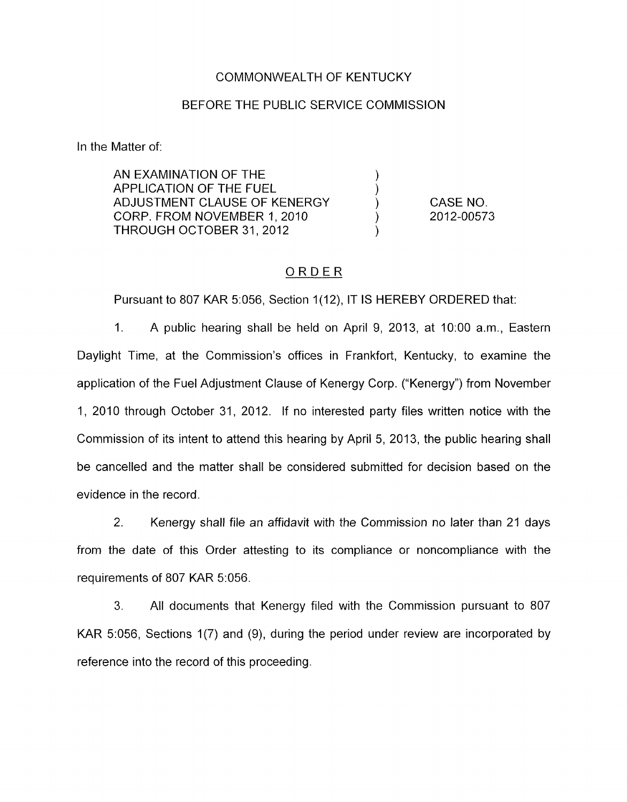## COMMONWEALTH OF KENTUCKY

### BEFORE THE PUBLIC SERVICE COMMISSION

In the Matter of:

AN EXAMINATION OF THE APPLICATION OF THE FUEL ) ADJUSTMENT CLAUSE OF KENERGY CORP. FROM NOVEMBER 1, 2010 THROUGH OCTOBER 31, 2012

CASE NO. 2012-00573

## ORDER

Pursuant to 807 KAR 5:056, Section 1(12), IT IS HEREBY ORDERED that:

1. A public hearing shall be held on April 9, 2013, at 1O:OO a.m., Eastern Daylight Time, at the Commission's offices in Frankfort, Kentucky, to examine the application of the Fuel Adjustment Clause of Kenergy Corp. ("Kenergy") from November 1, 2010 through October 31, 2012. If no interested party files written notice with the Commission of its intent to attend this hearing by April 5, 2013, the public hearing shall be cancelled and the matter shall be considered submitted for decision based on the evidence in the record.

2. Kenergy shall file an affidavit with the Commission no later than 21 days from the date of this Order attesting to its compliance or noncompliance with the requirements of 807 KAR 5:056.

**3.** All documents that Kenergy filed with the Commission pursuant to 807 KAR 5:056, Sections 1(7) and (9), during the period under review are incorporated by reference into the record of this proceeding.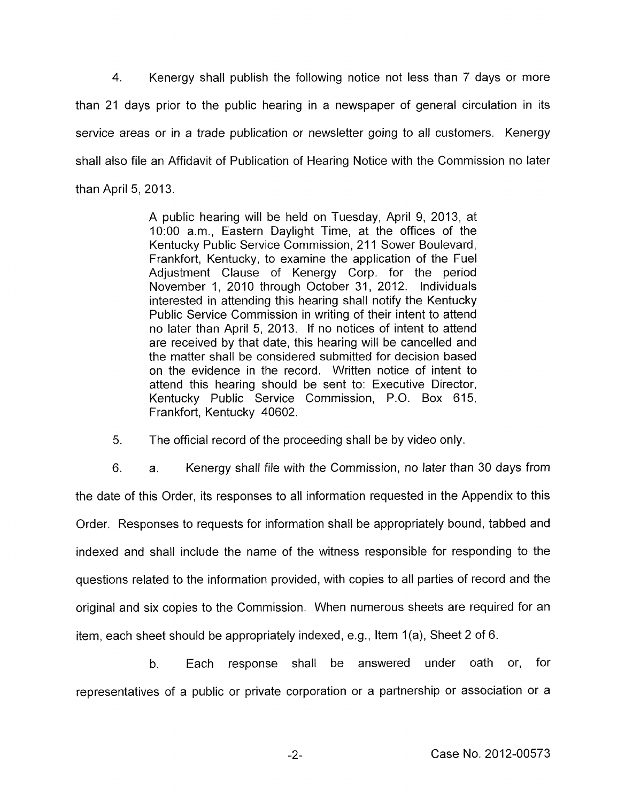4. Kenergy shall publish the following notice not less than 7 days or more than 21 days prior to the public hearing in a newspaper of general circulation in its service areas or in a trade publication or newsletter going to all customers. Kenergy shall also file an Affidavit of Publication of Hearing Notice with the Commission no later than April 5, 2013.

> A public hearing will be held on Tuesday, April 9, 2013, at 1O:OO a.m., Eastern Daylight Time, at the offices of the Kentucky Public Service Commission, 211 Sower Boulevard, Frankfort, Kentucky, to examine the application of the Fuel Adjustment Clause of Kenergy Corp. for the period November I, 2010 through October 31, 2012. Individuals interested in attending this hearing shall notify the Kentucky Public Service Commission in writing of their intent to attend no later than April 5, 2013. If no notices of intent to attend are received by that date, this hearing will be cancelled and the matter shall be considered submitted for decision based on the evidence in the record. Written notice of intent to attend this hearing should be sent to: Executive Director, Kentucky Public Service Commission, P.O. Box 615, Frankfort, Kentucky 40602.

5. The official record of the proceeding shall be by video only

6. a. Kenergy shall file with the Commission, no later than 30 days from the date of this Order, its responses to all information requested in the Appendix to this Order. Responses to requests for information shall be appropriately bound, tabbed and indexed and shall include the name of the witness responsible for responding to the questions related to the information provided, with copies to all parties of record and the original and six copies to the Commission. When numerous sheets are required for an item, each sheet should be appropriately indexed, e.g., Item 1(a), Sheet 2 of 6.

b. Each response shall he answered under oath or, for representatives of a public or private corporation or a partnership or association or a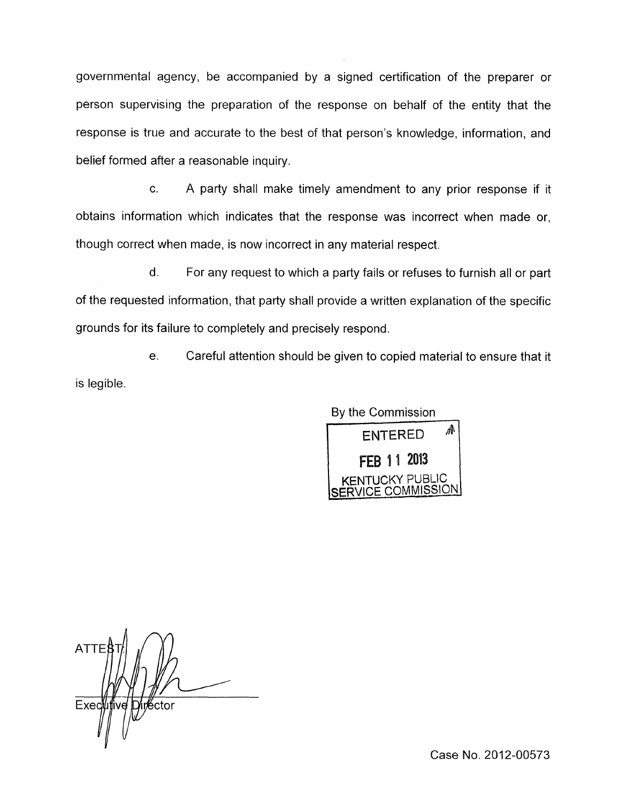governmental agency, be accompanied by a signed certification of the preparer or person supervising the preparation of the response on behalf of the entity that the response is true and accurate to the best of that person's knowledge, information, and belief formed after a reasonable inquiry.

c. A party shall make timely amendment to any prior response if it obtains information which indicates that the response was incorrect when made or, though correct when made, is now incorrect in any material respect.

d. For any request to which a party fails or refuses to furnish all or part of the requested information, that party shall provide a written explanation of the specific grounds for its failure to completely and precisely respond.

e. Careful attention should be given to copied material to ensure that it is legible.



**ATTE** Exec in≝ctor

Case No. 2012-00573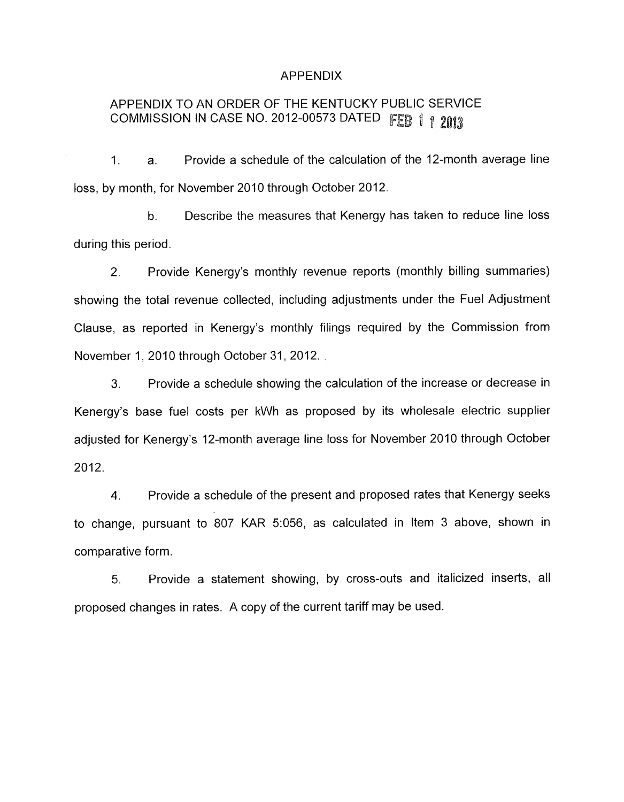#### APPENDIX

# APPENDIX TO AN ORDER OF THE KENTUCKY PUBLIC SERVICE COMMISSION IN CASE NO. 2012-00573 DATED FEB 1 1 2013

1. a. Provide a schedule of the calculation of the 12-month average line loss, by month, for November 2010 through October 2012.

b. Describe the measures that Kenergy has taken to reduce line loss during this period.

2. Provide Kenergy's monthly revenue reports (monthly billing summaries) showing the total revenue collected, including adjustments under the Fuel Adjustment Clause, as reported in Kenergy's monthly filings required by the Commission from November 1, 2010 through October 31, 2012.

3. Provide a schedule showing the calculation of the increase or decrease in Kenergy's base fuel costs per kWh as proposed by its wholesale electric supplier adjusted for Kenergy's 12-month average line loss for November 2010 through October 2012.

**4.** Provide a schedule of the present and proposed rates that Kenergy seeks to change, pursuant to 807 KAR 5:056, as calculated in Item 3 above, shown in comparative form.

*5.* Provide a statement showing, by cross-outs and italicized inserts, all proposed changes in rates. A copy of the current tariff may be used.